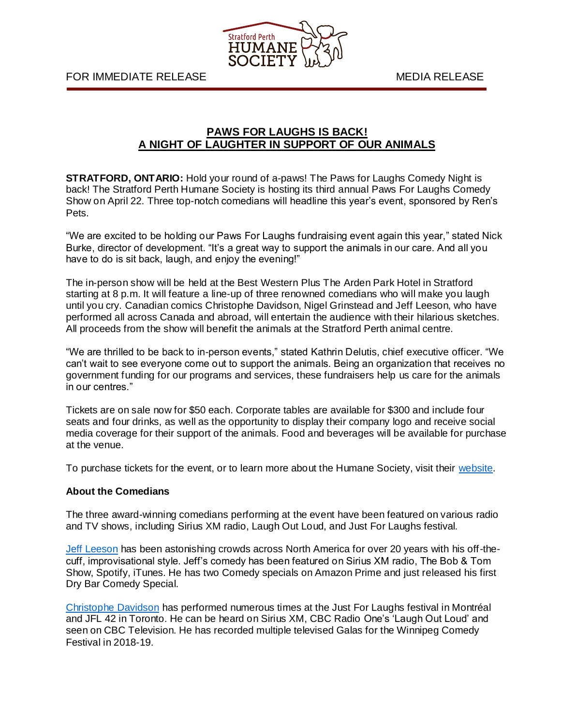

FOR IMMEDIATE RELEASE MEDIA RELEASE

## **PAWS FOR LAUGHS IS BACK! A NIGHT OF LAUGHTER IN SUPPORT OF OUR ANIMALS**

**STRATFORD, ONTARIO:** Hold your round of a-paws! The Paws for Laughs Comedy Night is back! The Stratford Perth Humane Society is hosting its third annual Paws For Laughs Comedy Show on April 22. Three top-notch comedians will headline this year's event, sponsored by Ren's Pets.

"We are excited to be holding our Paws For Laughs fundraising event again this year," stated Nick Burke, director of development. "It's a great way to support the animals in our care. And all you have to do is sit back, laugh, and enjoy the evening!"

The in-person show will be held at the Best Western Plus The Arden Park Hotel in Stratford starting at 8 p.m. It will feature a line-up of three renowned comedians who will make you laugh until you cry. Canadian comics Christophe Davidson, Nigel Grinstead and Jeff Leeson, who have performed all across Canada and abroad, will entertain the audience with their hilarious sketches. All proceeds from the show will benefit the animals at the Stratford Perth animal centre.

"We are thrilled to be back to in-person events," stated Kathrin Delutis, chief executive officer. "We can't wait to see everyone come out to support the animals. Being an organization that receives no government funding for our programs and services, these fundraisers help us care for the animals in our centres."

Tickets are on sale now for \$50 each. Corporate tables are available for \$300 and include four seats and four drinks, as well as the opportunity to display their company logo and receive social media coverage for their support of the animals. Food and beverages will be available for purchase at the venue.

To purchase tickets for the event, or to learn more about the Humane Society, visit their [website.](https://kwsphumane.ca/events/paws-for-laughs)

## **About the Comedians**

The three award-winning comedians performing at the event have been featured on various radio and TV shows, including Sirius XM radio, Laugh Out Loud, and Just For Laughs festival.

[Jeff Leeson](https://jeffleesoncomedy.com/stand-up/) has been astonishing crowds across North America for over 20 years with his off-thecuff, improvisational style. Jeff's comedy has been featured on Sirius XM radio, The Bob & Tom Show, Spotify, iTunes. He has two Comedy specials on Amazon Prime and just released his first Dry Bar Comedy Special.

[Christophe Davidson](https://www.christophedavidson.com/videos) has performed numerous times at the Just For Laughs festival in Montréal and JFL 42 in Toronto. He can be heard on Sirius XM, CBC Radio One's 'Laugh Out Loud' and seen on CBC Television. He has recorded multiple televised Galas for the Winnipeg Comedy Festival in 2018-19.